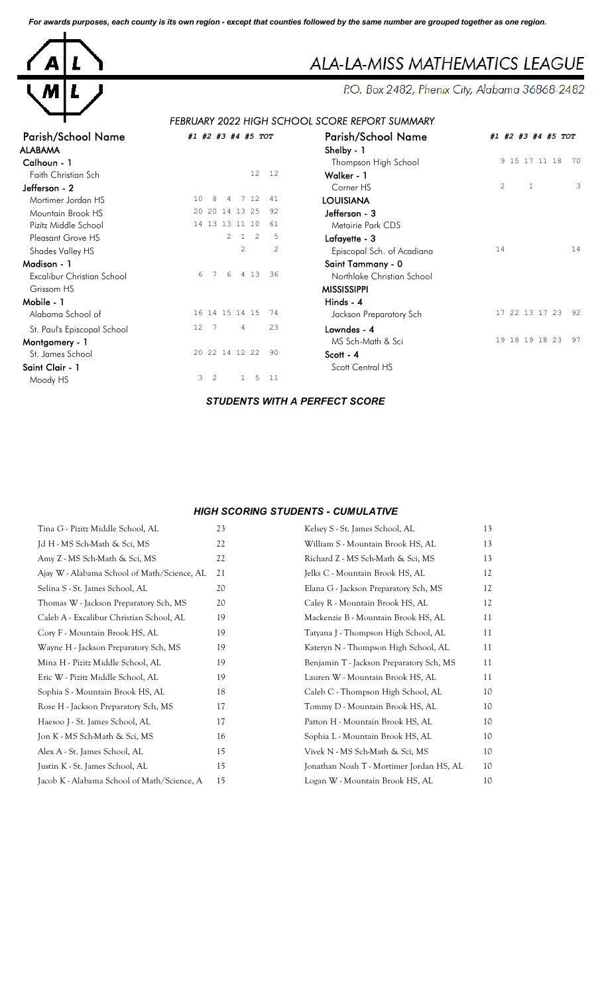*For awards purposes, each county is its own region - except that counties followed by the same number are grouped together as one region.*



# ALA-LA-MISS MATHEMATICS LEAGUE

P.O. Box 2482, Phenix City, Alabama 36868-2482

## *FEBRUARY 2022 HIGH SCHOOL SCORE REPORT SUMMARY*

| <b>Parish/School Name</b>   | #1 #2 #3 #4 #5 TOT          | <b>Parish/School Name</b>  | #1 #2 #3 #4 #5 TOT                  |
|-----------------------------|-----------------------------|----------------------------|-------------------------------------|
| ALABAMA                     |                             | Shelby - 1                 |                                     |
| Calhoun - 1                 |                             | Thompson High School       | 9 15 17 11 18<br>70                 |
| Faith Christian Sch         | 12 <sup>°</sup><br>12       | Walker - 1                 |                                     |
| Jefferson - 2               |                             | Corner HS                  | $\overline{c}$<br>$\mathbf{1}$<br>3 |
| Mortimer Jordan HS          | 7 12<br>41<br>10<br>-8<br>4 | <b>LOUISIANA</b>           |                                     |
| Mountain Brook HS           | 20 20 14 13 25<br>92        | Jefferson - 3              |                                     |
| Pizitz Middle School        | 14 13 13 11 10<br>61        | Metairie Park CDS          |                                     |
| Pleasant Grove HS           | 2<br>2<br>5<br>$\mathbf{1}$ | Lafayette - 3              |                                     |
| Shades Valley HS            | 2<br>2                      | Episcopal Sch. of Acadiana | 14<br>14                            |
| Madison - 1                 |                             | Saint Tammany - 0          |                                     |
| Excalibur Christian School  | 4 1 3<br>36<br>6<br>6       | Northlake Christian School |                                     |
| Grissom HS                  |                             | <b>MISSISSIPPI</b>         |                                     |
| Mobile - 1                  |                             | Hinds - 4                  |                                     |
| Alabama School of           | 16 14 15 14 15<br>74        | Jackson Preparatory Sch    | 17 22 13 17 23<br>-92               |
| St. Paul's Episcopal School | 23<br>12 7<br>4             | Lowndes - 4                |                                     |
| Montgomery - 1              |                             | MS Sch-Math & Sci          | 19 18 19 18 23<br>97                |
| St. James School            | 20 22 14 12 22<br>90        | Scott - 4                  |                                     |
| Saint Clair - 1             |                             | Scott Central HS           |                                     |
| Moody HS                    | 3<br>2<br>5<br>11           |                            |                                     |
|                             |                             |                            |                                     |

| roT            | <b>Parish/School Name</b>  | #1 #2 #3 #4 #5 TOT                  |
|----------------|----------------------------|-------------------------------------|
|                | Shelby - 1                 |                                     |
|                | Thompson High School       | 9 15 17 11 18<br>70                 |
| 12             | Walker - 1                 |                                     |
|                | Corner HS                  | 3<br>$\mathfrak{D}$<br>$\mathbf{1}$ |
| 41             | <b>LOUISIANA</b>           |                                     |
| 92             | Jefferson - 3              |                                     |
| 61             | Metairie Park CDS          |                                     |
| 5              | Lafayette - 3              |                                     |
| $\overline{c}$ | Episcopal Sch. of Acadiana | 14<br>14                            |
|                | Saint Tammany - 0          |                                     |
| 36             | Northlake Christian School |                                     |
|                | <b>MISSISSIPPI</b>         |                                     |
|                | Hinds - 4                  |                                     |
| 74             | Jackson Preparatory Sch    | 17 22 13 17 23<br>92                |
| 23             | Lowndes - 4                |                                     |
|                | MS Sch-Math & Sci          | 19 18 19 18 23<br>97                |
| 90             | Scott - 4                  |                                     |
|                | Scott Central HS           |                                     |
|                |                            |                                     |

#### *STUDENTS WITH A PERFECT SCORE*

#### *HIGH SCORING STUDENTS - CUMULATIVE*

| Tina G - Pizitz Middle School, AL           | 23 | Kelsey S - St. James School, AL          | 13 |
|---------------------------------------------|----|------------------------------------------|----|
| Jd H - MS Sch-Math & Sci, MS                | 22 | William S - Mountain Brook HS, AL        | 13 |
| Amy Z - MS Sch-Math & Sci, MS               | 22 | Richard Z - MS Sch-Math & Sci, MS        | 13 |
| Ajay W - Alabama School of Math/Science, AL | 21 | Jelks C - Mountain Brook HS, AL          | 12 |
| Selina S - St. James School, AL             | 20 | Elana G - Jackson Preparatory Sch, MS    | 12 |
| Thomas W - Jackson Preparatory Sch, MS      | 20 | Caley R - Mountain Brook HS, AL          | 12 |
| Caleb A - Excalibur Christian School, AL    | 19 | Mackenzie B - Mountain Brook HS, AL      | 11 |
| Cory F - Mountain Brook HS, AL              | 19 | Tatyana J - Thompson High School, AL     | 11 |
| Wayne H - Jackson Preparatory Sch, MS       | 19 | Kateryn N - Thompson High School, AL     | 11 |
| Mina H - Pizitz Middle School, AL           | 19 | Benjamin T - Jackson Preparatory Sch, MS | 11 |
| Eric W - Pizitz Middle School, AL           | 19 | Lauren W - Mountain Brook HS, AL         | 11 |
| Sophia S - Mountain Brook HS, AL            | 18 | Caleb C - Thompson High School, AL       | 10 |
| Rose H - Jackson Preparatory Sch, MS        | 17 | Tommy D - Mountain Brook HS, AL          | 10 |
| Haesoo J - St. James School, AL             | 17 | Patton H - Mountain Brook HS, AL         | 10 |
| Jon K - MS Sch-Math & Sci, MS               | 16 | Sophia L - Mountain Brook HS, AL         | 10 |
| Alex A - St. James School, AL               | 15 | Vivek N - MS Sch-Math & Sci, MS          | 10 |
| Justin K - St. James School, AL             | 15 | Jonathan Noah T - Mortimer Jordan HS, AL | 10 |
| Jacob K - Alabama School of Math/Science, A | 15 | Logan W - Mountain Brook HS, AL          | 10 |